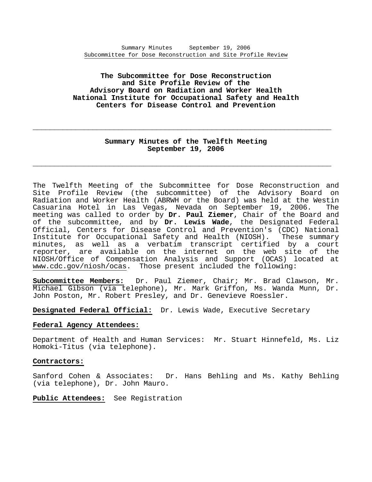# **The Subcommittee for Dose Reconstruction and Site Profile Review of the Advisory Board on Radiation and Worker Health National Institute for Occupational Safety and Health Centers for Disease Control and Prevention**

# **Summary Minutes of the Twelfth Meeting September 19, 2006**

**\_\_\_\_\_\_\_\_\_\_\_\_\_\_\_\_\_\_\_\_\_\_\_\_\_\_\_\_\_\_\_\_\_\_\_\_\_\_\_\_\_\_\_\_\_\_\_\_\_\_\_\_\_\_\_\_\_\_\_\_\_\_\_\_\_\_\_\_\_\_** 

**\_\_\_\_\_\_\_\_\_\_\_\_\_\_\_\_\_\_\_\_\_\_\_\_\_\_\_\_\_\_\_\_\_\_\_\_\_\_\_\_\_\_\_\_\_\_\_\_\_\_\_\_\_\_\_\_\_\_\_\_\_\_\_\_\_\_\_\_\_\_** 

The Twelfth Meeting of the Subcommittee for Dose Reconstruction and Site Profile Review (the subcommittee) of the Advisory Board on Radiation and Worker Health (ABRWH or the Board) was held at the Westin Casuarina Hotel in Las Vegas, Nevada on September 19, 2006. The meeting was called to order by **Dr. Paul Ziemer**, Chair of the Board and of the subcommittee, and by **Dr. Lewis Wade**, the Designated Federal Official, Centers for Disease Control and Prevention's (CDC) National Institute for Occupational Safety and Health (NIOSH). These summary minutes, as well as a verbatim transcript certified by a court reporter, are available on the internet on the web site of the NIOSH/Office of Compensation Analysis and Support (OCAS) located at www.cdc.gov/niosh/ocas. Those present included the following:

Subcommittee Members: Dr. Paul Ziemer, Chair; Mr. Brad Clawson, Mr. Michael Gibson (via telephone), Mr. Mark Griffon, Ms. Wanda Munn, Dr. John Poston, Mr. Robert Presley, and Dr. Genevieve Roessler.

**Designated Federal Official:** Dr. Lewis Wade, Executive Secretary

### **Federal Agency Attendees:**

Department of Health and Human Services: Mr. Stuart Hinnefeld, Ms. Liz Homoki-Titus (via telephone).

### **Contractors:**

Sanford Cohen & Associates: Dr. Hans Behling and Ms. Kathy Behling (via telephone), Dr. John Mauro.

## **Public Attendees:** See Registration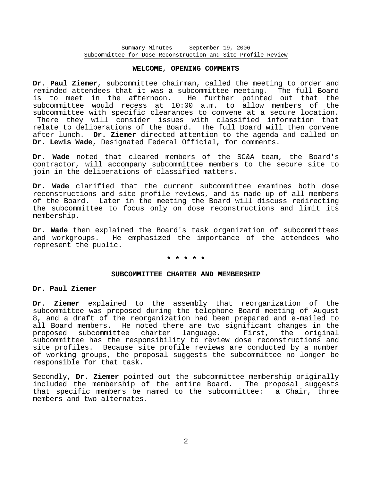#### **WELCOME, OPENING COMMENTS**

**Dr. Paul Ziemer**, subcommittee chairman, called the meeting to order and reminded attendees that it was a subcommittee meeting. The full Board is to meet in the afternoon. He further pointed out that the subcommittee would recess at 10:00 a.m. to allow members of the subcommittee with specific clearances to convene at a secure location. There they will consider issues with classified information that relate to deliberations of the Board. The full Board will then convene after lunch. **Dr. Ziemer** directed attention to the agenda and called on **Dr. Lewis Wade**, Designated Federal Official, for comments.

**Dr. Wade** noted that cleared members of the SC&A team, the Board's contractor, will accompany subcommittee members to the secure site to join in the deliberations of classified matters.

**Dr. Wade** clarified that the current subcommittee examines both dose reconstructions and site profile reviews, and is made up of all members of the Board. Later in the meeting the Board will discuss redirecting the subcommittee to focus only on dose reconstructions and limit its membership.

**Dr. Wade** then explained the Board's task organization of subcommittees and workgroups. He emphasized the importance of the attendees who represent the public.

# **\* \* \* \* \***

#### **SUBCOMMITTEE CHARTER AND MEMBERSHIP**

#### **Dr. Paul Ziemer**

**Dr. Ziemer** explained to the assembly that reorganization of the subcommittee was proposed during the telephone Board meeting of August 8, and a draft of the reorganization had been prepared and e-mailed to all Board members. He noted there are two significant changes in the proposed subcommittee charter language. First, the original subcommittee has the responsibility to review dose reconstructions and site profiles. Because site profile reviews are conducted by a number of working groups, the proposal suggests the subcommittee no longer be responsible for that task.

Secondly, **Dr. Ziemer** pointed out the subcommittee membership originally included the membership of the entire Board. The proposal suggests that specific members be named to the subcommittee: a Chair, three members and two alternates.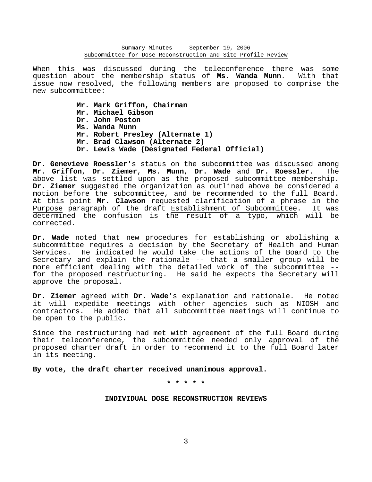When this was discussed during the teleconference there was some question about the membership status of **Ms. Wanda Munn**. With that issue now resolved, the following members are proposed to comprise the new subcommittee:

- **Mr. Mark Griffon, Chairman**
- **Mr. Michael Gibson**
- **Dr. John Poston**
- **Ms. Wanda Munn**
- **Mr. Robert Presley (Alternate 1)**
- **Mr. Brad Clawson (Alternate 2)**
- **Dr. Lewis Wade (Designated Federal Official)**

**Dr. Genevieve Roessler**'s status on the subcommittee was discussed among **Mr. Griffon**, **Dr. Ziemer**, **Ms. Munn**, **Dr. Wade** and **Dr. Roessler**. The above list was settled upon as the proposed subcommittee membership. **Dr. Ziemer** suggested the organization as outlined above be considered a motion before the subcommittee, and be recommended to the full Board. At this point **Mr. Clawson** requested clarification of a phrase in the Purpose paragraph of the draft Establishment of Subcommittee. It was determined the confusion is the result of a typo, which will be corrected.

**Dr. Wade** noted that new procedures for establishing or abolishing a subcommittee requires a decision by the Secretary of Health and Human Services. He indicated he would take the actions of the Board to the Secretary and explain the rationale -- that a smaller group will be more efficient dealing with the detailed work of the subcommittee - for the proposed restructuring. He said he expects the Secretary will approve the proposal.

**Dr. Ziemer** agreed with **Dr. Wade**'s explanation and rationale. He noted it will expedite meetings with other agencies such as NIOSH and contractors. He added that all subcommittee meetings will continue to be open to the public.

Since the restructuring had met with agreement of the full Board during their teleconference, the subcommittee needed only approval of the proposed charter draft in order to recommend it to the full Board later in its meeting.

**By vote, the draft charter received unanimous approval.** 

**\* \* \* \* \*** 

### **INDIVIDUAL DOSE RECONSTRUCTION REVIEWS**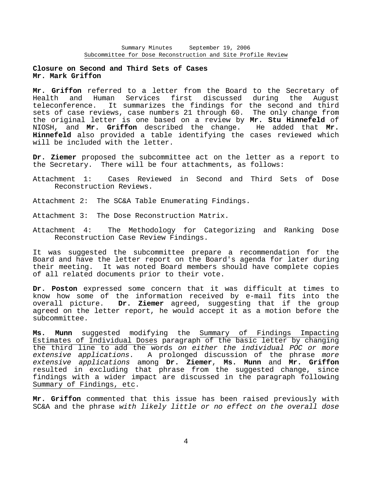# **Closure on Second and Third Sets of Cases Mr. Mark Griffon**

**Mr. Griffon** referred to a letter from the Board to the Secretary of Health and Human Services first discussed during the August teleconference. It summarizes the findings for the second and third sets of case reviews, case numbers 21 through 60. The only change from the original letter is one based on a review by **Mr. Stu Hinnefeld** of NIOSH, and **Mr. Griffon** described the change. He added that **Mr. Hinnefeld** also provided a table identifying the cases reviewed which will be included with the letter.

**Dr. Ziemer** proposed the subcommittee act on the letter as a report to the Secretary. There will be four attachments, as follows:

- Attachment 1: Cases Reviewed in Second and Third Sets of Dose Reconstruction Reviews.
- Attachment 2: The SC&A Table Enumerating Findings.
- Attachment 3: The Dose Reconstruction Matrix.
- Attachment 4: The Methodology for Categorizing and Ranking Dose Reconstruction Case Review Findings.

It was suggested the subcommittee prepare a recommendation for the Board and have the letter report on the Board's agenda for later during their meeting. It was noted Board members should have complete copies of all related documents prior to their vote.

**Dr. Poston** expressed some concern that it was difficult at times to know how some of the information received by e-mail fits into the overall picture. **Dr. Ziemer** agreed, suggesting that if the group agreed on the letter report, he would accept it as a motion before the subcommittee.

**Ms. Munn** suggested modifying the Summary of Findings Impacting Estimates of Individual Doses paragraph of the basic letter by changing the third line to add the words *on either the individual POC or more extensive applications*. A prolonged discussion of the phrase *more extensive applications* among **Dr. Ziemer**, **Ms. Munn** and **Mr. Griffon** resulted in excluding that phrase from the suggested change, since findings with a wider impact are discussed in the paragraph following Summary of Findings, etc.

**Mr. Griffon** commented that this issue has been raised previously with SC&A and the phrase *with likely little or no effect on the overall dose*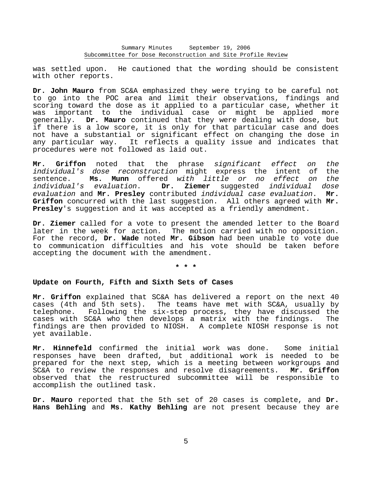was settled upon. He cautioned that the wording should be consistent with other reports.

**Dr. John Mauro** from SC&A emphasized they were trying to be careful not to go into the POC area and limit their observations, findings and scoring toward the dose as it applied to a particular case, whether it was important to the individual case or might be applied more generally. **Dr. Mauro** continued that they were dealing with dose, but if there is a low score, it is only for that particular case and does not have a substantial or significant effect on changing the dose in any particular way. It reflects a quality issue and indicates that procedures were not followed as laid out.

**Mr. Griffon** noted that the phrase *significant effect on the individual's dose reconstruction* might express the intent of the sentence. **Ms. Munn** offered *with little or no effect on the individual's evaluation*. **Dr. Ziemer** suggested *individual dose evaluation* and **Mr. Presley** contributed *individual case evaluation*. **Mr. Griffon** concurred with the last suggestion. All others agreed with **Mr. Presley**'s suggestion and it was accepted as a friendly amendment.

**Dr. Ziemer** called for a vote to present the amended letter to the Board later in the week for action. The motion carried with no opposition. For the record, **Dr. Wade** noted **Mr. Gibson** had been unable to vote due to communication difficulties and his vote should be taken before accepting the document with the amendment.

**\* \* \*** 

### **Update on Fourth, Fifth and Sixth Sets of Cases**

**Mr. Griffon** explained that SC&A has delivered a report on the next 40 cases (4th and 5th sets). The teams have met with SC&A, usually by telephone. Following the six-step process, they have discussed the cases with SC&A who then develops a matrix with the findings. The findings are then provided to NIOSH. A complete NIOSH response is not yet available.

**Mr. Hinnefeld** confirmed the initial work was done. Some initial responses have been drafted, but additional work is needed to be prepared for the next step, which is a meeting between workgroups and SC&A to review the responses and resolve disagreements. **Mr. Griffon** observed that the restructured subcommittee will be responsible to accomplish the outlined task.

**Dr. Mauro** reported that the 5th set of 20 cases is complete, and **Dr. Hans Behling** and **Ms. Kathy Behling** are not present because they are

5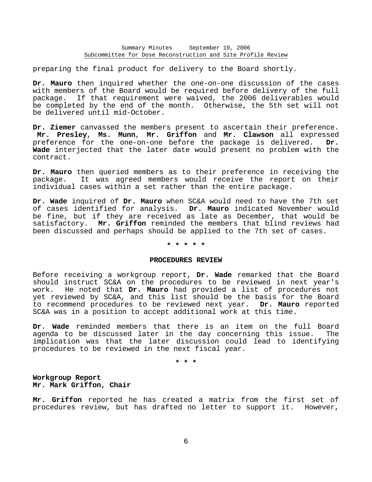preparing the final product for delivery to the Board shortly.

**Dr. Mauro** then inquired whether the one-on-one discussion of the cases with members of the Board would be required before delivery of the full package. If that requirement were waived, the 2006 deliverables would be completed by the end of the month. Otherwise, the 5th set will not be delivered until mid-October.

**Dr. Ziemer** canvassed the members present to ascertain their preference. **Mr. Presley**, **Ms. Munn**, **Mr. Griffon** and **Mr. Clawson** all expressed preference for the one-on-one before the package is delivered. **Dr. Wade** interjected that the later date would present no problem with the contract.

**Dr. Mauro** then queried members as to their preference in receiving the package. It was agreed members would receive the report on their individual cases within a set rather than the entire package.

**Dr. Wade** inquired of **Dr. Mauro** when SC&A would need to have the 7th set of cases identified for analysis. **Dr. Mauro** indicated November would be fine, but if they are received as late as December, that would be satisfactory. **Mr. Griffon** reminded the members that blind reviews had been discussed and perhaps should be applied to the 7th set of cases.

# **\* \* \* \* \***

### **PROCEDURES REVIEW**

Before receiving a workgroup report, **Dr. Wade** remarked that the Board should instruct SC&A on the procedures to be reviewed in next year's work. He noted that **Dr. Mauro** had provided a list of procedures not yet reviewed by SC&A, and this list should be the basis for the Board to recommend procedures to be reviewed next year. **Dr. Mauro** reported SC&A was in a position to accept additional work at this time.

**Dr. Wade** reminded members that there is an item on the full Board agenda to be discussed later in the day concerning this issue. The implication was that the later discussion could lead to identifying procedures to be reviewed in the next fiscal year.

**\* \* \*** 

**Workgroup Report Mr. Mark Griffon, Chair** 

**Mr. Griffon** reported he has created a matrix from the first set of procedures review, but has drafted no letter to support it. However,